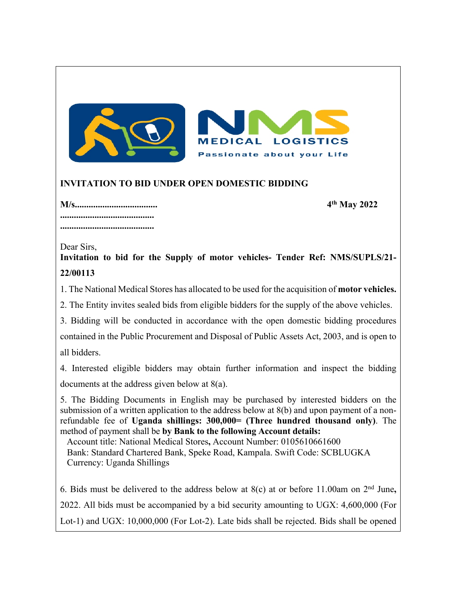

## **INVITATION TO BID UNDER OPEN DOMESTIC BIDDING**

**M/s.................................... 4th May 2022 ......................................... .........................................**

Dear Sirs,

**Invitation to bid for the Supply of motor vehicles- Tender Ref: NMS/SUPLS/21- 22/00113**

1. The National Medical Stores has allocated to be used for the acquisition of **motor vehicles.**

2. The Entity invites sealed bids from eligible bidders for the supply of the above vehicles.

3. Bidding will be conducted in accordance with the open domestic bidding procedures contained in the Public Procurement and Disposal of Public Assets Act, 2003, and is open to all bidders.

4. Interested eligible bidders may obtain further information and inspect the bidding documents at the address given below at 8(a).

5. The Bidding Documents in English may be purchased by interested bidders on the submission of a written application to the address below at 8(b) and upon payment of a nonrefundable fee of **Uganda shillings: 300,000= (Three hundred thousand only)**. The method of payment shall be **by Bank to the following Account details:**

Account title: National Medical Stores**,** Account Number: 0105610661600 Bank: Standard Chartered Bank, Speke Road, Kampala. Swift Code: SCBLUGKA Currency: Uganda Shillings

6. Bids must be delivered to the address below at 8(c) at or before 11.00am on 2nd June**,** 2022. All bids must be accompanied by a bid security amounting to UGX: 4,600,000 (For Lot-1) and UGX: 10,000,000 (For Lot-2). Late bids shall be rejected. Bids shall be opened